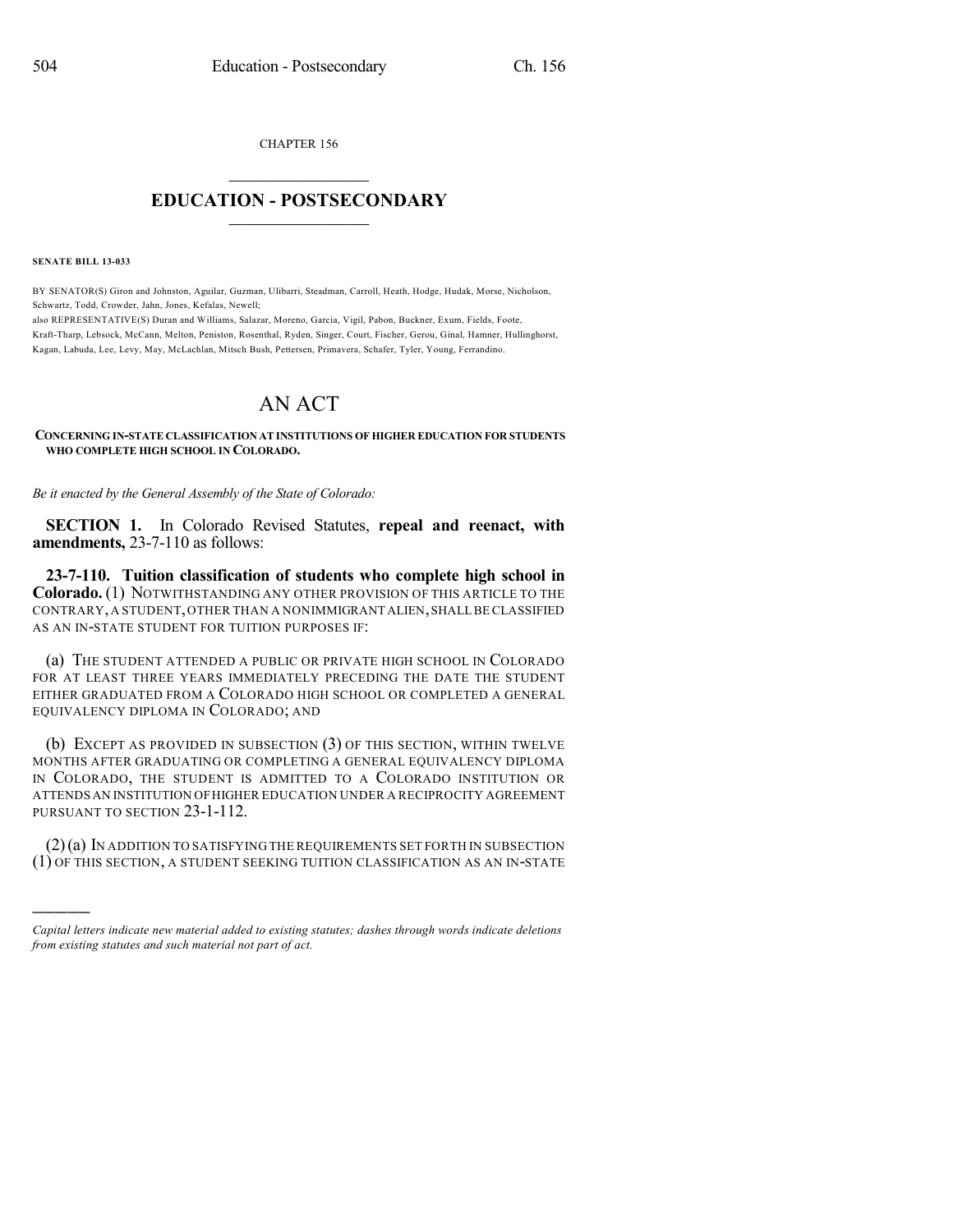CHAPTER 156  $\mathcal{L}_\text{max}$  . The set of the set of the set of the set of the set of the set of the set of the set of the set of the set of the set of the set of the set of the set of the set of the set of the set of the set of the set

## **EDUCATION - POSTSECONDARY**  $\frac{1}{2}$  ,  $\frac{1}{2}$  ,  $\frac{1}{2}$  ,  $\frac{1}{2}$  ,  $\frac{1}{2}$  ,  $\frac{1}{2}$  ,  $\frac{1}{2}$

**SENATE BILL 13-033**

)))))

BY SENATOR(S) Giron and Johnston, Aguilar, Guzman, Ulibarri, Steadman, Carroll, Heath, Hodge, Hudak, Morse, Nicholson, Schwartz, Todd, Crowder, Jahn, Jones, Kefalas, Newell;

also REPRESENTATIVE(S) Duran and Williams, Salazar, Moreno, Garcia, Vigil, Pabon, Buckner, Exum, Fields, Foote, Kraft-Tharp, Lebsock, McCann, Melton, Peniston, Rosenthal, Ryden, Singer, Court, Fischer, Gerou, Ginal, Hamner, Hullinghorst, Kagan, Labuda, Lee, Levy, May, McLachlan, Mitsch Bush, Pettersen, Primavera, Schafer, Tyler, Young, Ferrandino.

## AN ACT

**CONCERNING IN-STATE CLASSIFICATION AT INSTITUTIONS OF HIGHER EDUCATION FOR STUDENTS WHO COMPLETE HIGH SCHOOL IN COLORADO.**

*Be it enacted by the General Assembly of the State of Colorado:*

**SECTION 1.** In Colorado Revised Statutes, **repeal and reenact, with amendments,** 23-7-110 as follows:

**23-7-110. Tuition classification of students who complete high school in Colorado.** (1) NOTWITHSTANDING ANY OTHER PROVISION OF THIS ARTICLE TO THE CONTRARY,A STUDENT,OTHER THAN A NONIMMIGRANT ALIEN,SHALL BE CLASSIFIED AS AN IN-STATE STUDENT FOR TUITION PURPOSES IF:

(a) THE STUDENT ATTENDED A PUBLIC OR PRIVATE HIGH SCHOOL IN COLORADO FOR AT LEAST THREE YEARS IMMEDIATELY PRECEDING THE DATE THE STUDENT EITHER GRADUATED FROM A COLORADO HIGH SCHOOL OR COMPLETED A GENERAL EQUIVALENCY DIPLOMA IN COLORADO; AND

(b) EXCEPT AS PROVIDED IN SUBSECTION (3) OF THIS SECTION, WITHIN TWELVE MONTHS AFTER GRADUATING OR COMPLETING A GENERAL EQUIVALENCY DIPLOMA IN COLORADO, THE STUDENT IS ADMITTED TO A COLORADO INSTITUTION OR ATTENDS AN INSTITUTION OFHIGHER EDUCATION UNDER A RECIPROCITY AGREEMENT PURSUANT TO SECTION 23-1-112.

(2)(a) IN ADDITION TO SATISFYING THE REQUIREMENTS SET FORTH IN SUBSECTION (1) OF THIS SECTION, A STUDENT SEEKING TUITION CLASSIFICATION AS AN IN-STATE

*Capital letters indicate new material added to existing statutes; dashes through words indicate deletions from existing statutes and such material not part of act.*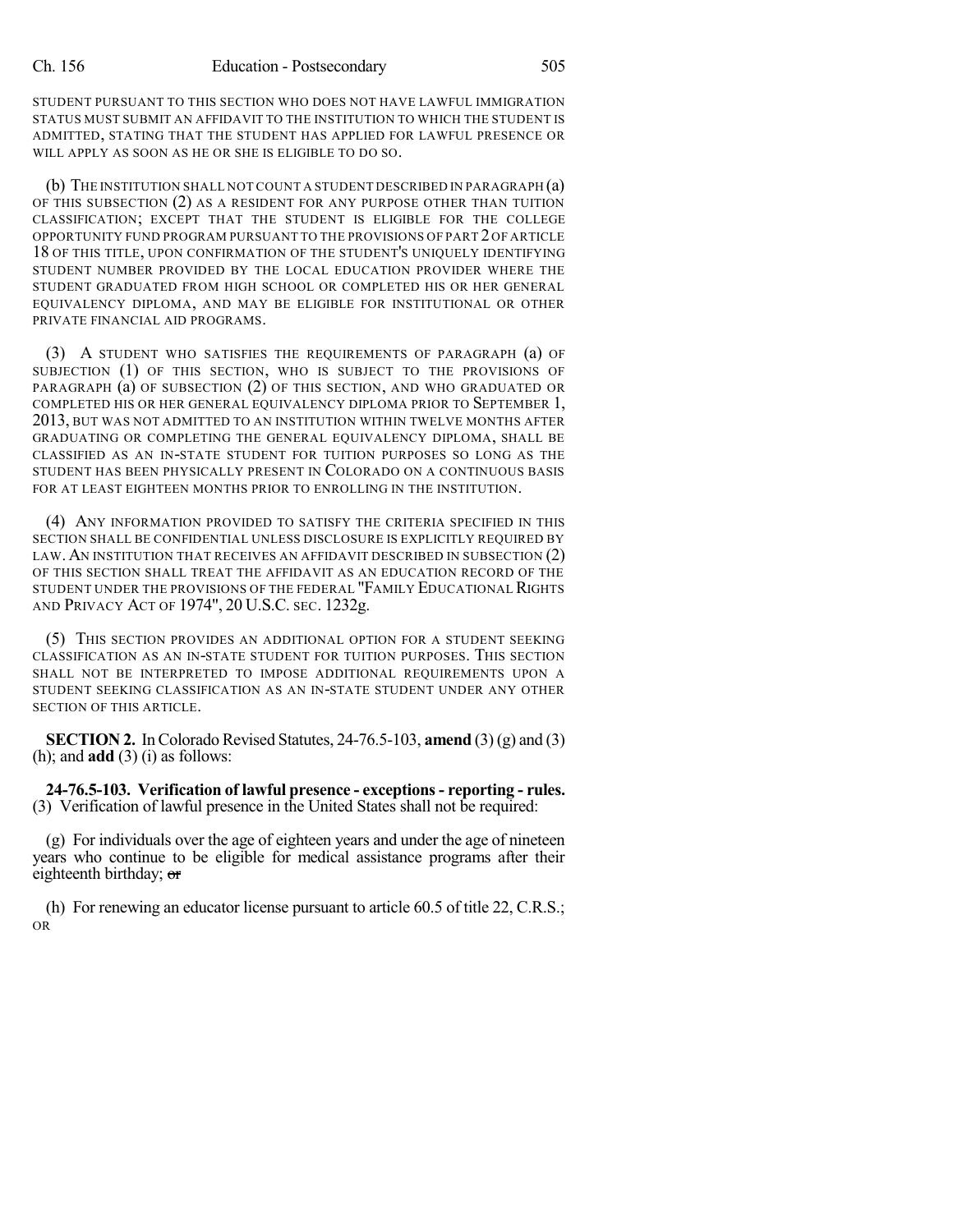STUDENT PURSUANT TO THIS SECTION WHO DOES NOT HAVE LAWFUL IMMIGRATION STATUS MUST SUBMIT AN AFFIDAVIT TO THE INSTITUTION TO WHICH THE STUDENT IS ADMITTED, STATING THAT THE STUDENT HAS APPLIED FOR LAWFUL PRESENCE OR WILL APPLY AS SOON AS HE OR SHE IS ELIGIBLE TO DO SO.

(b) THE INSTITUTION SHALL NOT COUNT A STUDENT DESCRIBED IN PARAGRAPH (a) OF THIS SUBSECTION (2) AS A RESIDENT FOR ANY PURPOSE OTHER THAN TUITION CLASSIFICATION; EXCEPT THAT THE STUDENT IS ELIGIBLE FOR THE COLLEGE OPPORTUNITY FUND PROGRAM PURSUANT TO THE PROVISIONS OF PART 2 OF ARTICLE 18 OF THIS TITLE, UPON CONFIRMATION OF THE STUDENT'S UNIQUELY IDENTIFYING STUDENT NUMBER PROVIDED BY THE LOCAL EDUCATION PROVIDER WHERE THE STUDENT GRADUATED FROM HIGH SCHOOL OR COMPLETED HIS OR HER GENERAL EQUIVALENCY DIPLOMA, AND MAY BE ELIGIBLE FOR INSTITUTIONAL OR OTHER PRIVATE FINANCIAL AID PROGRAMS.

(3) A STUDENT WHO SATISFIES THE REQUIREMENTS OF PARAGRAPH (a) OF SUBJECTION (1) OF THIS SECTION, WHO IS SUBJECT TO THE PROVISIONS OF PARAGRAPH (a) OF SUBSECTION (2) OF THIS SECTION, AND WHO GRADUATED OR COMPLETED HIS OR HER GENERAL EQUIVALENCY DIPLOMA PRIOR TO SEPTEMBER 1, 2013, BUT WAS NOT ADMITTED TO AN INSTITUTION WITHIN TWELVE MONTHS AFTER GRADUATING OR COMPLETING THE GENERAL EQUIVALENCY DIPLOMA, SHALL BE CLASSIFIED AS AN IN-STATE STUDENT FOR TUITION PURPOSES SO LONG AS THE STUDENT HAS BEEN PHYSICALLY PRESENT IN COLORADO ON A CONTINUOUS BASIS FOR AT LEAST EIGHTEEN MONTHS PRIOR TO ENROLLING IN THE INSTITUTION.

(4) ANY INFORMATION PROVIDED TO SATISFY THE CRITERIA SPECIFIED IN THIS SECTION SHALL BE CONFIDENTIAL UNLESS DISCLOSURE IS EXPLICITLY REQUIRED BY LAW. AN INSTITUTION THAT RECEIVES AN AFFIDAVIT DESCRIBED IN SUBSECTION (2) OF THIS SECTION SHALL TREAT THE AFFIDAVIT AS AN EDUCATION RECORD OF THE STUDENT UNDER THE PROVISIONS OF THE FEDERAL "FAMILY EDUCATIONAL RIGHTS AND PRIVACY ACT OF 1974", 20 U.S.C. SEC. 1232g.

(5) THIS SECTION PROVIDES AN ADDITIONAL OPTION FOR A STUDENT SEEKING CLASSIFICATION AS AN IN-STATE STUDENT FOR TUITION PURPOSES. THIS SECTION SHALL NOT BE INTERPRETED TO IMPOSE ADDITIONAL REQUIREMENTS UPON A STUDENT SEEKING CLASSIFICATION AS AN IN-STATE STUDENT UNDER ANY OTHER SECTION OF THIS ARTICLE.

**SECTION 2.** In Colorado Revised Statutes,  $24-76.5-103$ , **amend** (3) (g) and (3) (h); and **add** (3) (i) as follows:

**24-76.5-103. Verification of lawful presence - exceptions- reporting - rules.** (3) Verification of lawful presence in the United States shall not be required:

(g) For individuals over the age of eighteen years and under the age of nineteen years who continue to be eligible for medical assistance programs after their eighteenth birthday; or

(h) For renewing an educator license pursuant to article 60.5 of title 22, C.R.S.; OR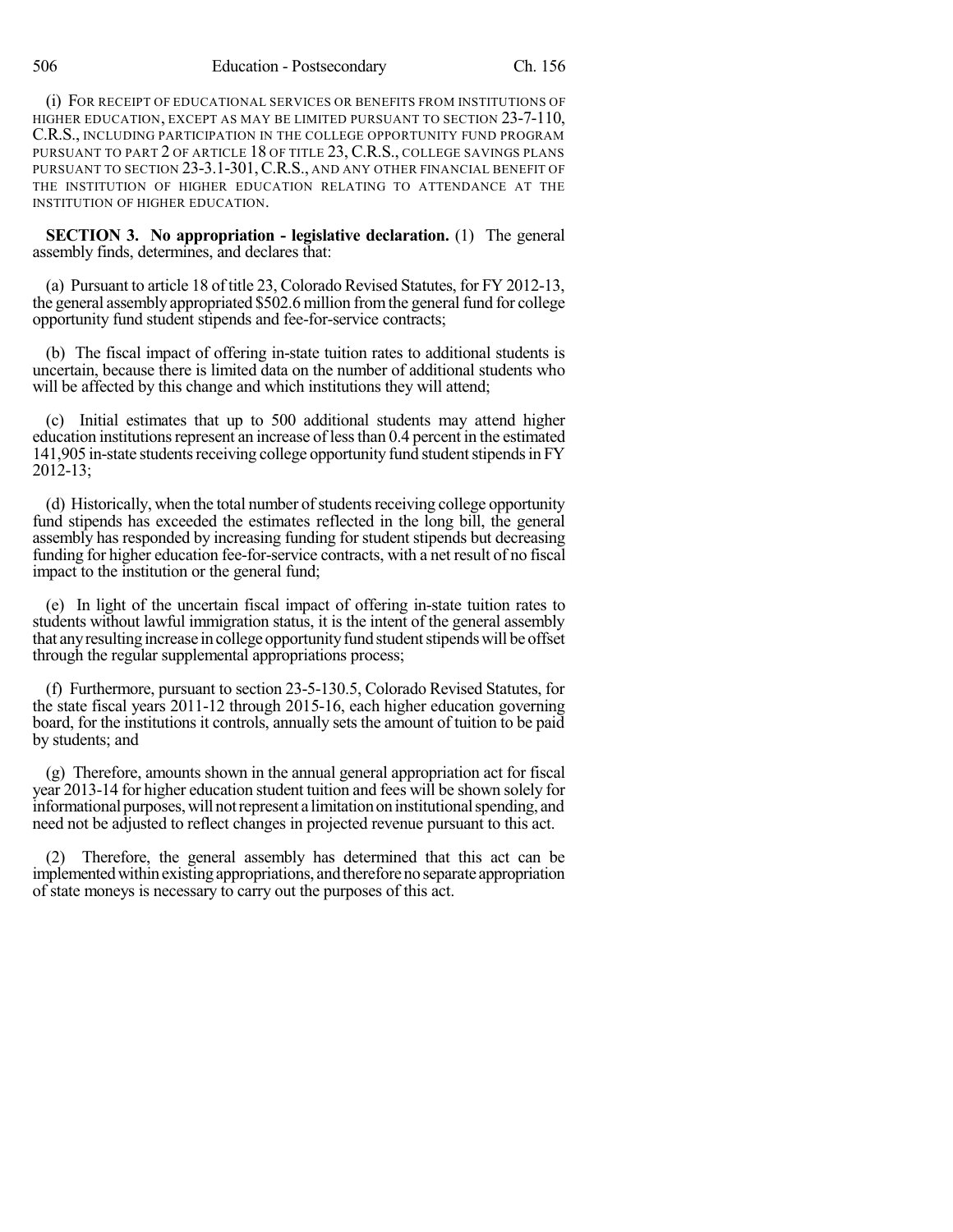(i) FOR RECEIPT OF EDUCATIONAL SERVICES OR BENEFITS FROM INSTITUTIONS OF HIGHER EDUCATION, EXCEPT AS MAY BE LIMITED PURSUANT TO SECTION 23-7-110, C.R.S., INCLUDING PARTICIPATION IN THE COLLEGE OPPORTUNITY FUND PROGRAM PURSUANT TO PART 2 OF ARTICLE 18 OF TITLE 23, C.R.S., COLLEGE SAVINGS PLANS PURSUANT TO SECTION 23-3.1-301, C.R.S., AND ANY OTHER FINANCIAL BENEFIT OF THE INSTITUTION OF HIGHER EDUCATION RELATING TO ATTENDANCE AT THE INSTITUTION OF HIGHER EDUCATION.

**SECTION 3. No appropriation - legislative declaration.** (1) The general assembly finds, determines, and declares that:

(a) Pursuant to article 18 of title 23, Colorado Revised Statutes, for FY 2012-13, the general assembly appropriated \$502.6 million fromthe general fund for college opportunity fund student stipends and fee-for-service contracts;

(b) The fiscal impact of offering in-state tuition rates to additional students is uncertain, because there is limited data on the number of additional students who will be affected by this change and which institutions they will attend;

(c) Initial estimates that up to 500 additional students may attend higher education institutions represent an increase of less than 0.4 percent in the estimated 141,905 in-state students receiving college opportunity fund student stipends in FY 2012-13;

(d) Historically, when the total number of students receiving college opportunity fund stipends has exceeded the estimates reflected in the long bill, the general assembly has responded by increasing funding for student stipends but decreasing funding for higher education fee-for-service contracts, with a net result of no fiscal impact to the institution or the general fund;

(e) In light of the uncertain fiscal impact of offering in-state tuition rates to students without lawful immigration status, it is the intent of the general assembly that any resulting increase in college opportunity fund student stipends will be offset through the regular supplemental appropriations process;

(f) Furthermore, pursuant to section 23-5-130.5, Colorado Revised Statutes, for the state fiscal years 2011-12 through 2015-16, each higher education governing board, for the institutions it controls, annually sets the amount of tuition to be paid by students; and

(g) Therefore, amounts shown in the annual general appropriation act for fiscal year 2013-14 for higher education student tuition and fees will be shown solely for informational purposes,will notrepresent a limitationoninstitutionalspending, and need not be adjusted to reflect changes in projected revenue pursuant to this act.

(2) Therefore, the general assembly has determined that this act can be implemented within existing appropriations, and therefore no separate appropriation of state moneys is necessary to carry out the purposes of this act.